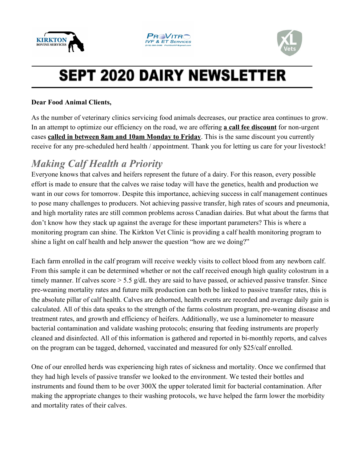





# **SEPT 2020 DAIRY NEWSLETTER**

#### **Dear Food Animal Clients,**

As the number of veterinary clinics servicing food animals decreases, our practice area continues to grow. In an attempt to optimize our efficiency on the road, we are offering **a call fee discount** for non-urgent cases **called in between 8am and 10am Monday to Friday**. This is the same discount you currently receive for any pre-scheduled herd health / appointment. Thank you for letting us care for your livestock!

### *Making Calf Health a Priority*

Everyone knows that calves and heifers represent the future of a dairy. For this reason, every possible effort is made to ensure that the calves we raise today will have the genetics, health and production we want in our cows for tomorrow. Despite this importance, achieving success in calf management continues to pose many challenges to producers. Not achieving passive transfer, high rates of scours and pneumonia, and high mortality rates are still common problems across Canadian dairies. But what about the farms that don't know how they stack up against the average for these important parameters? This is where a monitoring program can shine. The Kirkton Vet Clinic is providing a calf health monitoring program to shine a light on calf health and help answer the question "how are we doing?"

Each farm enrolled in the calf program will receive weekly visits to collect blood from any newborn calf. From this sample it can be determined whether or not the calf received enough high quality colostrum in a timely manner. If calves score > 5.5 g/dL they are said to have passed, or achieved passive transfer. Since pre-weaning mortality rates and future milk production can both be linked to passive transfer rates, this is the absolute pillar of calf health. Calves are dehorned, health events are recorded and average daily gain is calculated. All of this data speaks to the strength of the farms colostrum program, pre-weaning disease and treatment rates, and growth and efficiency of heifers. Additionally, we use a luminometer to measure bacterial contamination and validate washing protocols; ensuring that feeding instruments are properly cleaned and disinfected. All of this information is gathered and reported in bi-monthly reports, and calves on the program can be tagged, dehorned, vaccinated and measured for only \$25/calf enrolled.

One of our enrolled herds was experiencing high rates of sickness and mortality. Once we confirmed that they had high levels of passive transfer we looked to the environment. We tested their bottles and instruments and found them to be over 300X the upper tolerated limit for bacterial contamination. After making the appropriate changes to their washing protocols, we have helped the farm lower the morbidity and mortality rates of their calves.